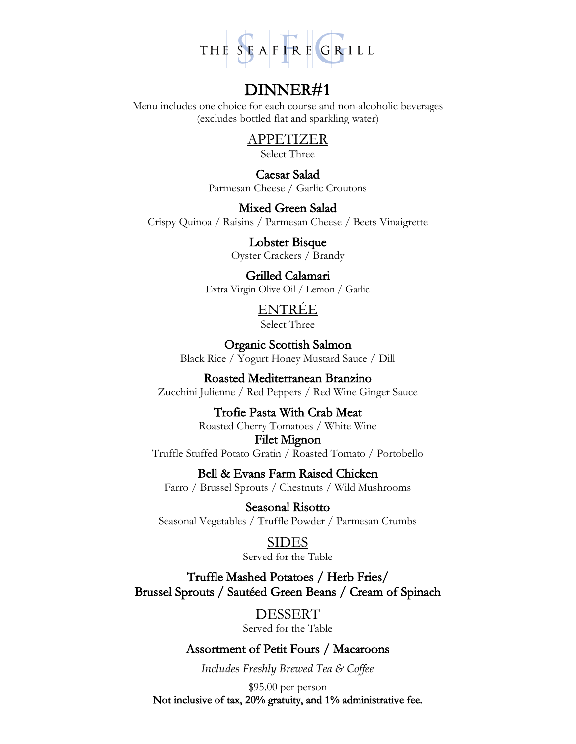

Menu includes one choice for each course and non-alcoholic beverages (excludes bottled flat and sparkling water)

# APPETIZER

Select Three

Caesar Salad Parmesan Cheese / Garlic Croutons

Mixed Green Salad

Crispy Quinoa / Raisins / Parmesan Cheese / Beets Vinaigrette

Lobster Bisque Oyster Crackers / Brandy

# Grilled Calamari

Extra Virgin Olive Oil / Lemon / Garlic

# ENTRÉE

Select Three

Organic Scottish Salmon Black Rice / Yogurt Honey Mustard Sauce / Dill

# Roasted Mediterranean Branzino Zucchini Julienne / Red Peppers / Red Wine Ginger Sauce

# Trofie Pasta With Crab Meat

Roasted Cherry Tomatoes / White Wine

# Filet Mignon

Truffle Stuffed Potato Gratin / Roasted Tomato / Portobello

# Bell & Evans Farm Raised Chicken

Farro / Brussel Sprouts / Chestnuts / Wild Mushrooms

Seasonal Risotto Seasonal Vegetables / Truffle Powder / Parmesan Crumbs

# SIDES

Served for the Table

Truffle Mashed Potatoes / Herb Fries/ Brussel Sprouts / Sautéed Green Beans / Cream of Spinach

# DESSERT

Served for the Table

# Assortment of Petit Fours / Macaroons

*Includes Freshly Brewed Tea & Coffee* 

\$95.00 per person

Not inclusive of tax, 20% gratuity, and 1% administrative fee.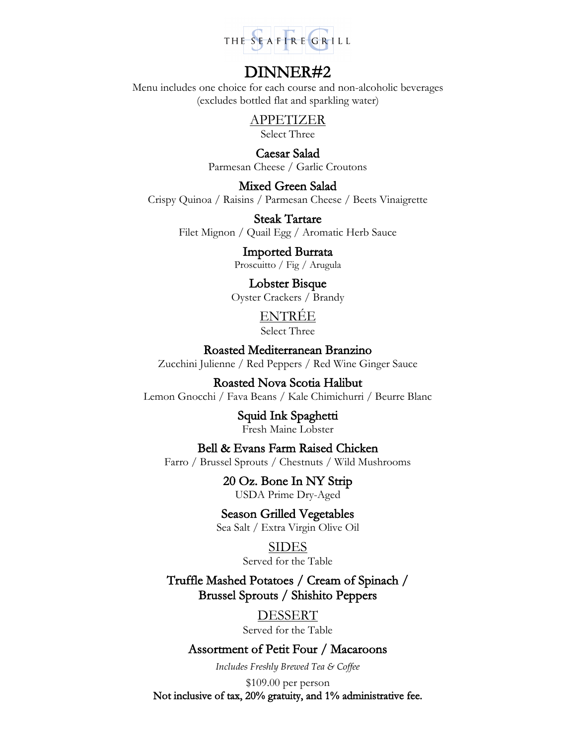

Menu includes one choice for each course and non-alcoholic beverages (excludes bottled flat and sparkling water)

APPETIZER

Select Three

Caesar Salad Parmesan Cheese / Garlic Croutons

Mixed Green Salad Crispy Quinoa / Raisins / Parmesan Cheese / Beets Vinaigrette

> Steak Tartare Filet Mignon / Quail Egg / Aromatic Herb Sauce

> > Imported Burrata Proscuitto / Fig / Arugula

Lobster Bisque Oyster Crackers / Brandy

ENTRÉE

Select Three

Roasted Mediterranean Branzino Zucchini Julienne / Red Peppers / Red Wine Ginger Sauce

Roasted Nova Scotia Halibut Lemon Gnocchi / Fava Beans / Kale Chimichurri / Beurre Blanc

> Squid Ink Spaghetti Fresh Maine Lobster

Bell & Evans Farm Raised Chicken

Farro / Brussel Sprouts / Chestnuts / Wild Mushrooms

20 Oz. Bone In NY Strip USDA Prime Dry-Aged

Season Grilled Vegetables Sea Salt / Extra Virgin Olive Oil

> SIDES Served for the Table

Truffle Mashed Potatoes / Cream of Spinach / Brussel Sprouts / Shishito Peppers

> DESSERT Served for the Table

Assortment of Petit Four / Macaroons

*Includes Freshly Brewed Tea & Coffee* 

\$109.00 per person Not inclusive of tax, 20% gratuity, and 1% administrative fee.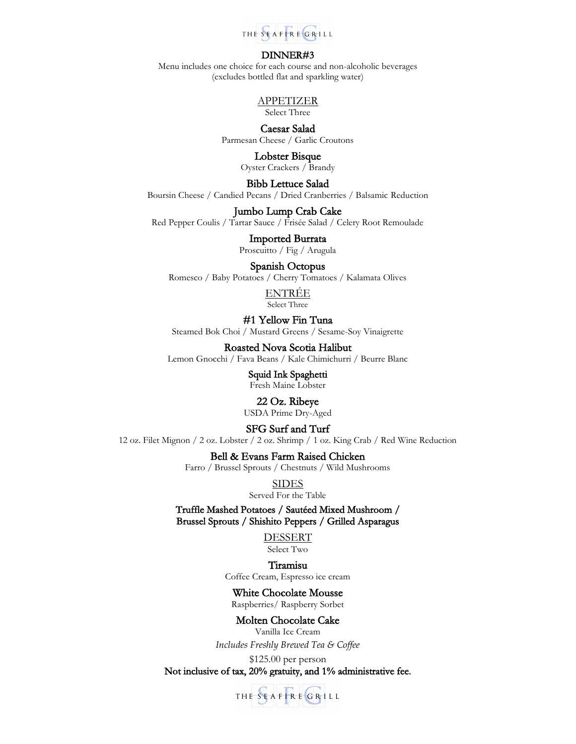

Menu includes one choice for each course and non-alcoholic beverages (excludes bottled flat and sparkling water)

## APPETIZER

Select Three

### Caesar Salad Parmesan Cheese / Garlic Croutons

Lobster Bisque Oyster Crackers / Brandy

Bibb Lettuce Salad

Boursin Cheese / Candied Pecans / Dried Cranberries / Balsamic Reduction

### Jumbo Lump Crab Cake

Red Pepper Coulis / Tartar Sauce / Frisée Salad / Celery Root Remoulade

Imported Burrata Proscuitto / Fig / Arugula

### Spanish Octopus

Romesco / Baby Potatoes / Cherry Tomatoes / Kalamata Olives

ENTRÉE Select Three

## #1 Yellow Fin Tuna

Steamed Bok Choi / Mustard Greens / Sesame-Soy Vinaigrette

### Roasted Nova Scotia Halibut

Lemon Gnocchi / Fava Beans / Kale Chimichurri / Beurre Blanc

Squid Ink Spaghetti Fresh Maine Lobster

# 22 Oz. Ribeye

USDA Prime Dry-Aged

## SFG Surf and Turf

12 oz. Filet Mignon / 2 oz. Lobster / 2 oz. Shrimp / 1 oz. King Crab / Red Wine Reduction

Bell & Evans Farm Raised Chicken

Farro / Brussel Sprouts / Chestnuts / Wild Mushrooms

SIDES

Served For the Table

Truffle Mashed Potatoes / Sautéed Mixed Mushroom / Brussel Sprouts / Shishito Peppers / Grilled Asparagus

> DESSERT Select Two

### Tiramisu

Coffee Cream, Espresso ice cream

### White Chocolate Mousse

Raspberries/ Raspberry Sorbet

### Molten Chocolate Cake

Vanilla Ice Cream *Includes Freshly Brewed Tea & Coffee* 

\$125.00 per person Not inclusive of tax, 20% gratuity, and 1% administrative fee.

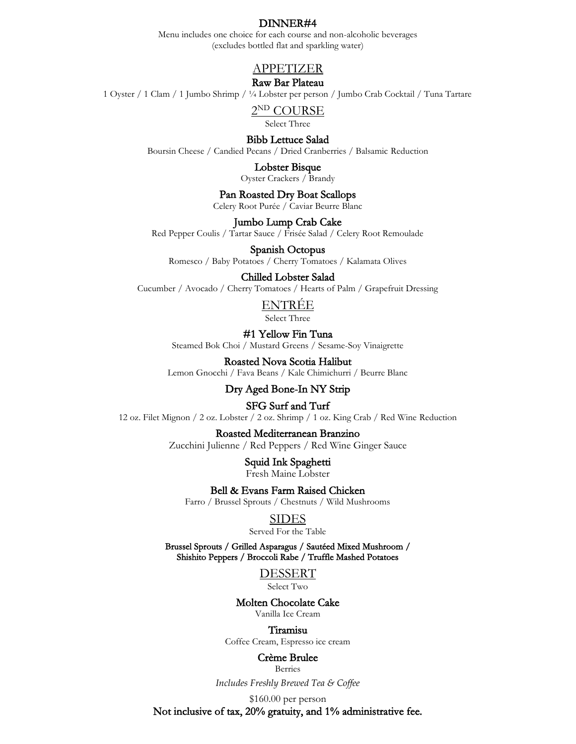Menu includes one choice for each course and non-alcoholic beverages (excludes bottled flat and sparkling water)

## APPETIZER

### Raw Bar Plateau

1 Oyster / 1 Clam / 1 Jumbo Shrimp / ¼ Lobster per person / Jumbo Crab Cocktail / Tuna Tartare

2 ND COURSE

Select Three

Bibb Lettuce Salad

Boursin Cheese / Candied Pecans / Dried Cranberries / Balsamic Reduction

Lobster Bisque

Oyster Crackers / Brandy

Pan Roasted Dry Boat Scallops

Celery Root Purée / Caviar Beurre Blanc

Jumbo Lump Crab Cake

Red Pepper Coulis / Tartar Sauce / Frisée Salad / Celery Root Remoulade

#### Spanish Octopus

Romesco / Baby Potatoes / Cherry Tomatoes / Kalamata Olives

#### Chilled Lobster Salad

Cucumber / Avocado / Cherry Tomatoes / Hearts of Palm / Grapefruit Dressing

### ENTRÉE

Select Three

#1 Yellow Fin Tuna Steamed Bok Choi / Mustard Greens / Sesame-Soy Vinaigrette

#### Roasted Nova Scotia Halibut

Lemon Gnocchi / Fava Beans / Kale Chimichurri / Beurre Blanc

# Dry Aged Bone-In NY Strip

SFG Surf and Turf

12 oz. Filet Mignon / 2 oz. Lobster / 2 oz. Shrimp / 1 oz. King Crab / Red Wine Reduction

#### Roasted Mediterranean Branzino

Zucchini Julienne / Red Peppers / Red Wine Ginger Sauce

Squid Ink Spaghetti Fresh Maine Lobster

Bell & Evans Farm Raised Chicken

Farro / Brussel Sprouts / Chestnuts / Wild Mushrooms

# **SIDES**

Served For the Table

Brussel Sprouts / Grilled Asparagus / Sautéed Mixed Mushroom / Shishito Peppers / Broccoli Rabe / Truffle Mashed Potatoes

> DESSERT Select Two

Molten Chocolate Cake

Vanilla Ice Cream

#### Tiramisu

Coffee Cream, Espresso ice cream

#### Crème Brulee

Berries

*Includes Freshly Brewed Tea & Coffee* 

\$160.00 per person

Not inclusive of tax, 20% gratuity, and 1% administrative fee.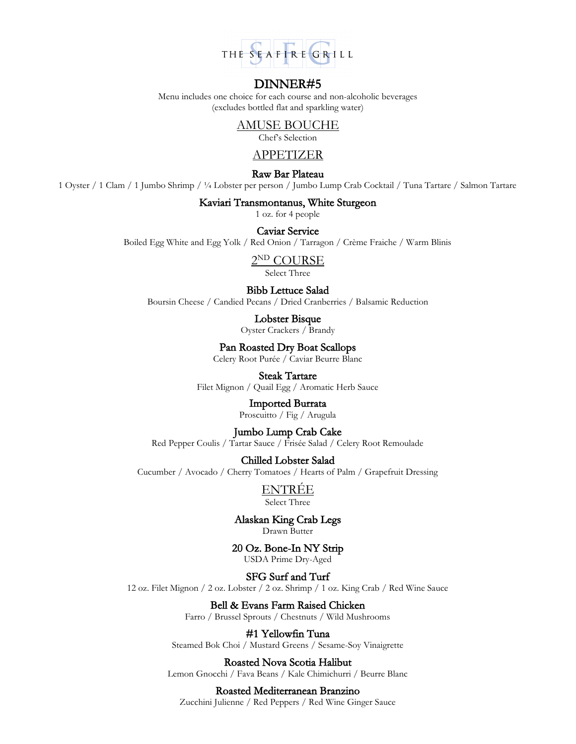

Menu includes one choice for each course and non-alcoholic beverages (excludes bottled flat and sparkling water)

# AMUSE BOUCHE

Chef's Selection

# APPETIZER

### Raw Bar Plateau

1 Oyster / 1 Clam / 1 Jumbo Shrimp / ¼ Lobster per person / Jumbo Lump Crab Cocktail / Tuna Tartare / Salmon Tartare

### Kaviari Transmontanus, White Sturgeon

1 oz. for 4 people

## Caviar Service

Boiled Egg White and Egg Yolk / Red Onion / Tarragon / Crème Fraiche / Warm Blinis

2 ND COURSE

Select Three

#### Bibb Lettuce Salad

Boursin Cheese / Candied Pecans / Dried Cranberries / Balsamic Reduction

Lobster Bisque Oyster Crackers / Brandy

Pan Roasted Dry Boat Scallops

Celery Root Purée / Caviar Beurre Blanc

## Steak Tartare

Filet Mignon / Quail Egg / Aromatic Herb Sauce

## Imported Burrata

Proscuitto / Fig / Arugula

## Jumbo Lump Crab Cake

Red Pepper Coulis / Tartar Sauce / Frisée Salad / Celery Root Remoulade

### Chilled Lobster Salad

Cucumber / Avocado / Cherry Tomatoes / Hearts of Palm / Grapefruit Dressing

ENTRÉE Select Three

Alaskan King Crab Legs Drawn Butter

20 Oz. Bone-In NY Strip USDA Prime Dry-Aged

SFG Surf and Turf

12 oz. Filet Mignon / 2 oz. Lobster / 2 oz. Shrimp / 1 oz. King Crab / Red Wine Sauce

Bell & Evans Farm Raised Chicken

Farro / Brussel Sprouts / Chestnuts / Wild Mushrooms

# #1 Yellowfin Tuna

Steamed Bok Choi / Mustard Greens / Sesame-Soy Vinaigrette

#### Roasted Nova Scotia Halibut

Lemon Gnocchi / Fava Beans / Kale Chimichurri / Beurre Blanc

#### Roasted Mediterranean Branzino

Zucchini Julienne / Red Peppers / Red Wine Ginger Sauce